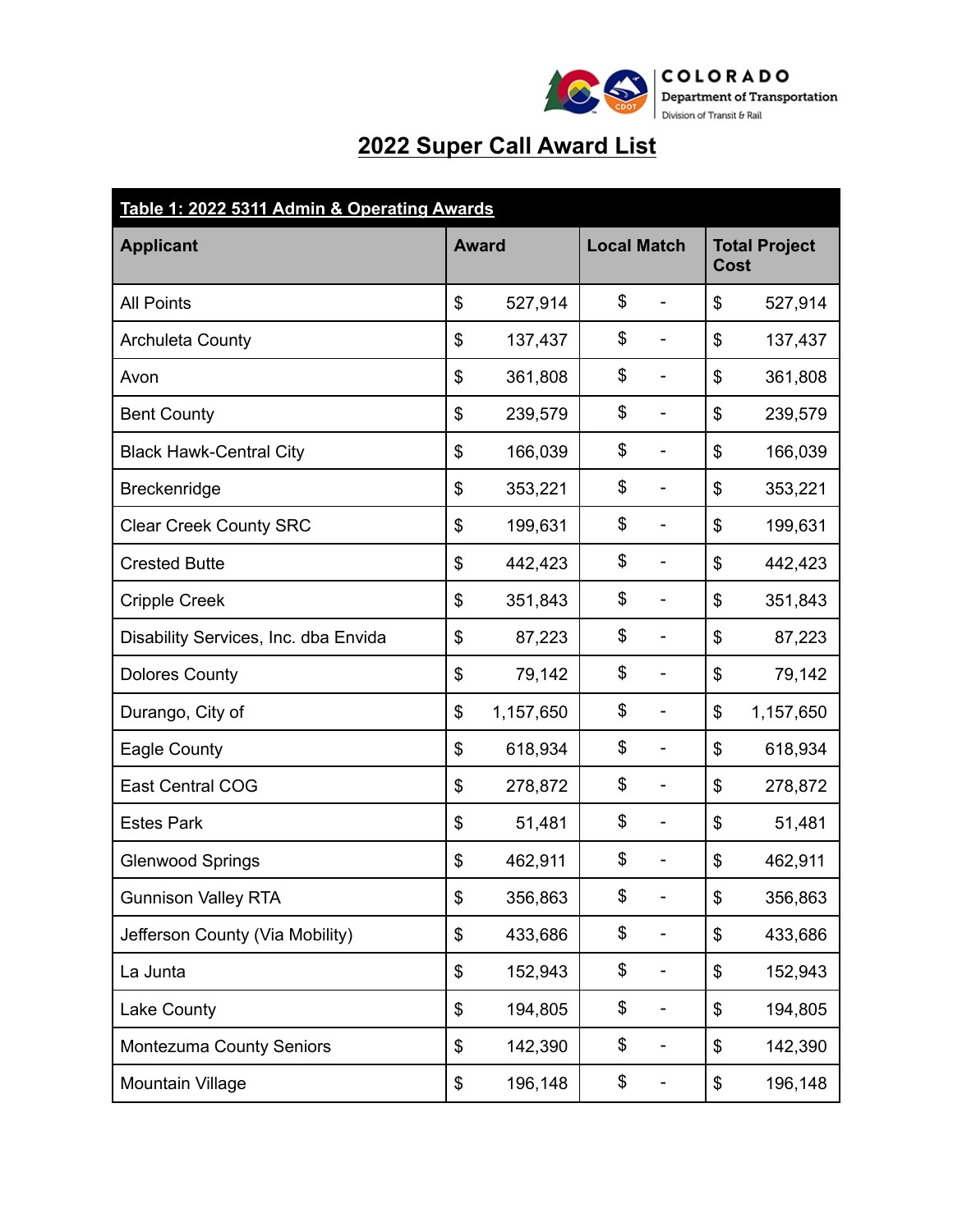

## **2022 Super Call Award List**

| Table 1: 2022 5311 Admin & Operating Awards |    |              |    |                              |    |           |                              |  |  |
|---------------------------------------------|----|--------------|----|------------------------------|----|-----------|------------------------------|--|--|
| <b>Applicant</b>                            |    | <b>Award</b> |    | <b>Local Match</b>           |    |           | <b>Total Project</b><br>Cost |  |  |
| <b>All Points</b>                           | \$ | 527,914      | \$ | ÷,                           | \$ | 527,914   |                              |  |  |
| <b>Archuleta County</b>                     | \$ | 137,437      | \$ | ÷                            | \$ | 137,437   |                              |  |  |
| Avon                                        | \$ | 361,808      | \$ | $\qquad \qquad \blacksquare$ | \$ | 361,808   |                              |  |  |
| <b>Bent County</b>                          | \$ | 239,579      | \$ | $\qquad \qquad \blacksquare$ | \$ | 239,579   |                              |  |  |
| <b>Black Hawk-Central City</b>              | \$ | 166,039      | \$ | $\overline{\phantom{m}}$     | \$ | 166,039   |                              |  |  |
| Breckenridge                                | \$ | 353,221      | \$ | $\overline{\phantom{a}}$     | \$ | 353,221   |                              |  |  |
| <b>Clear Creek County SRC</b>               | \$ | 199,631      | \$ | ÷                            | \$ | 199,631   |                              |  |  |
| <b>Crested Butte</b>                        | \$ | 442,423      | \$ | ۰                            | \$ | 442,423   |                              |  |  |
| <b>Cripple Creek</b>                        | \$ | 351,843      | \$ | ۰                            | \$ | 351,843   |                              |  |  |
| Disability Services, Inc. dba Envida        | \$ | 87,223       | \$ | $\overline{\phantom{a}}$     | \$ | 87,223    |                              |  |  |
| <b>Dolores County</b>                       | \$ | 79,142       | \$ | $\overline{\phantom{a}}$     | \$ | 79,142    |                              |  |  |
| Durango, City of                            | \$ | 1,157,650    | \$ | ÷                            | \$ | 1,157,650 |                              |  |  |
| Eagle County                                | \$ | 618,934      | \$ | $\overline{\phantom{0}}$     | \$ | 618,934   |                              |  |  |
| <b>East Central COG</b>                     | \$ | 278,872      | \$ | -                            | \$ | 278,872   |                              |  |  |
| <b>Estes Park</b>                           | \$ | 51,481       | \$ | -                            | \$ | 51,481    |                              |  |  |
| <b>Glenwood Springs</b>                     | \$ | 462,911      | \$ | -                            | \$ | 462,911   |                              |  |  |
| <b>Gunnison Valley RTA</b>                  | \$ | 356,863      | \$ |                              | \$ | 356,863   |                              |  |  |
| Jefferson County (Via Mobility)             | \$ | 433,686      | \$ | -                            | \$ | 433,686   |                              |  |  |
| La Junta                                    | \$ | 152,943      | \$ | -                            | \$ | 152,943   |                              |  |  |
| Lake County                                 | \$ | 194,805      | \$ | -                            | \$ | 194,805   |                              |  |  |
| Montezuma County Seniors                    | \$ | 142,390      | \$ | -                            | \$ | 142,390   |                              |  |  |
| Mountain Village                            | \$ | 196,148      | \$ | -                            | \$ | 196,148   |                              |  |  |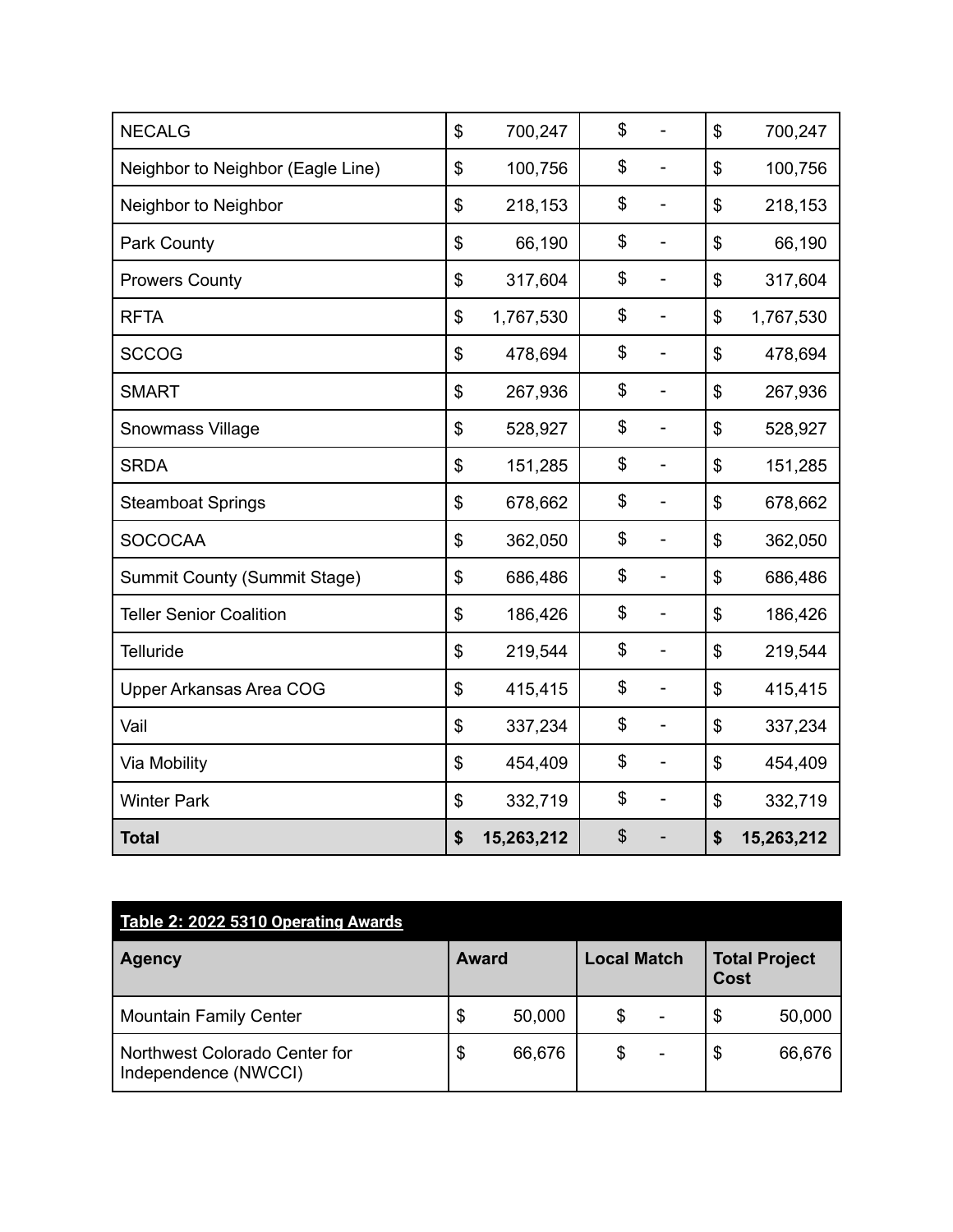| <b>NECALG</b>                     | \$             | 700,247    | \$<br>-                        | \$<br>700,247    |
|-----------------------------------|----------------|------------|--------------------------------|------------------|
| Neighbor to Neighbor (Eagle Line) | $\mathfrak{S}$ | 100,756    | \$<br>-                        | \$<br>100,756    |
| Neighbor to Neighbor              | \$             | 218,153    | \$<br>-                        | \$<br>218,153    |
| Park County                       | \$             | 66,190     | \$<br>$\overline{a}$           | \$<br>66,190     |
| <b>Prowers County</b>             | \$             | 317,604    | \$<br>-                        | \$<br>317,604    |
| <b>RFTA</b>                       | \$             | 1,767,530  | \$<br>÷,                       | \$<br>1,767,530  |
| <b>SCCOG</b>                      | \$             | 478,694    | \$<br>-                        | \$<br>478,694    |
| <b>SMART</b>                      | \$             | 267,936    | \$<br>$\overline{a}$           | \$<br>267,936    |
| <b>Snowmass Village</b>           | \$             | 528,927    | \$<br>$\overline{a}$           | \$<br>528,927    |
| <b>SRDA</b>                       | \$             | 151,285    | \$<br>$\overline{a}$           | \$<br>151,285    |
| <b>Steamboat Springs</b>          | \$             | 678,662    | \$<br>$\overline{\phantom{0}}$ | \$<br>678,662    |
| <b>SOCOCAA</b>                    | \$             | 362,050    | \$<br>-                        | \$<br>362,050    |
| Summit County (Summit Stage)      | \$             | 686,486    | \$<br>-                        | \$<br>686,486    |
| <b>Teller Senior Coalition</b>    | \$             | 186,426    | \$<br>÷,                       | \$<br>186,426    |
| <b>Telluride</b>                  | \$             | 219,544    | \$<br>$\overline{\phantom{0}}$ | \$<br>219,544    |
| Upper Arkansas Area COG           | \$             | 415,415    | \$<br>-                        | \$<br>415,415    |
| Vail                              | \$             | 337,234    | \$<br>$\overline{\phantom{0}}$ | \$<br>337,234    |
| Via Mobility                      | \$             | 454,409    | \$<br>$\overline{a}$           | \$<br>454,409    |
| <b>Winter Park</b>                | \$             | 332,719    | \$<br>$\overline{\phantom{0}}$ | \$<br>332,719    |
| <b>Total</b>                      | \$             | 15,263,212 | \$                             | \$<br>15,263,212 |

| Table 2: 2022 5310 Operating Awards                   |              |        |                    |                          |                              |        |
|-------------------------------------------------------|--------------|--------|--------------------|--------------------------|------------------------------|--------|
| <b>Agency</b>                                         | <b>Award</b> |        | <b>Local Match</b> |                          | <b>Total Project</b><br>Cost |        |
| <b>Mountain Family Center</b>                         | \$           | 50,000 | \$                 | $\overline{\phantom{a}}$ | \$                           | 50,000 |
| Northwest Colorado Center for<br>Independence (NWCCI) | \$           | 66,676 | \$                 | ۰                        | \$                           | 66,676 |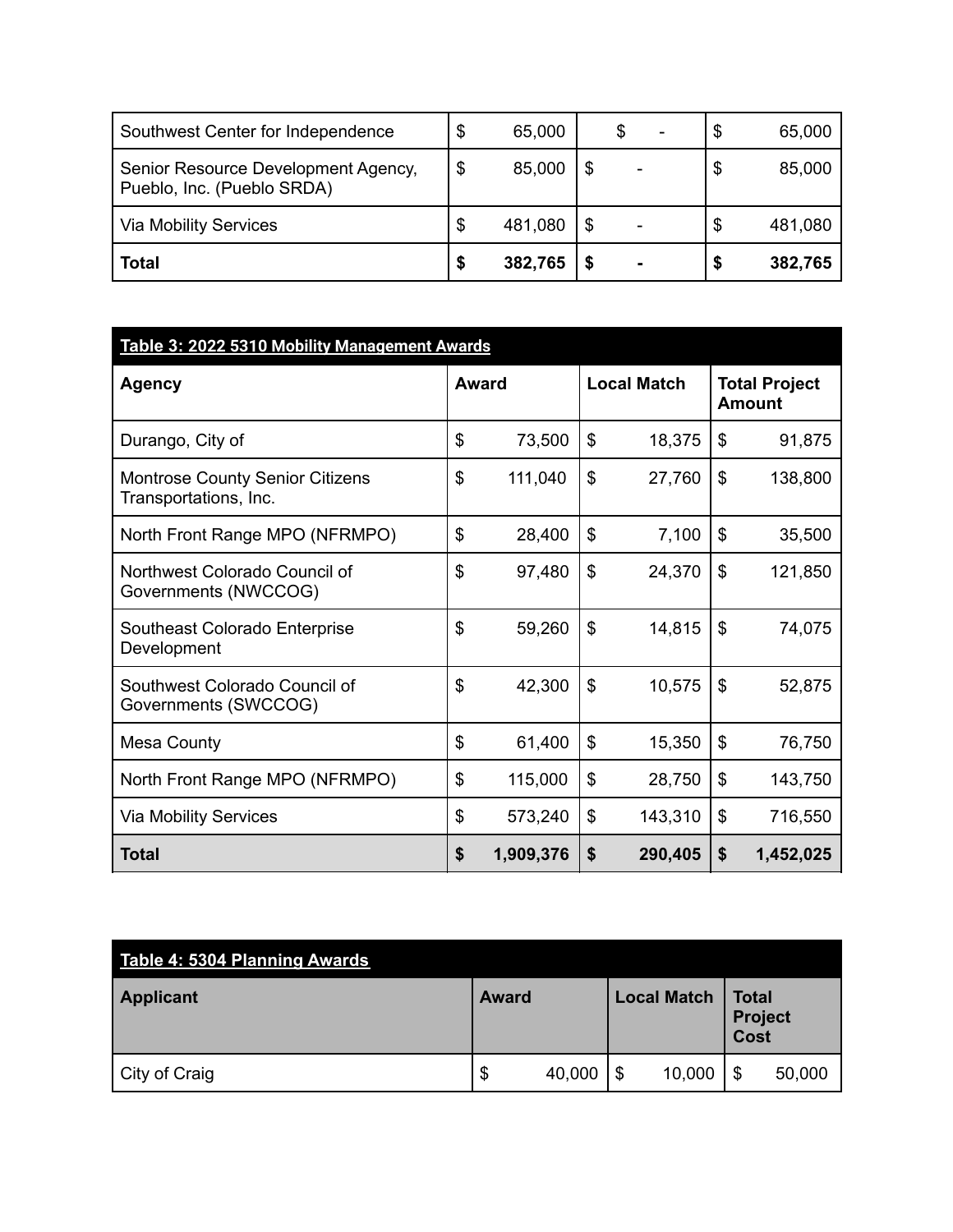| Southwest Center for Independence                                 | 65,000       |  | ۰ | \$ | 65,000  |
|-------------------------------------------------------------------|--------------|--|---|----|---------|
| Senior Resource Development Agency,<br>Pueblo, Inc. (Pueblo SRDA) | \$<br>85,000 |  |   | \$ | 85,000  |
| <b>Via Mobility Services</b>                                      | 481,080      |  |   | \$ | 481,080 |
| <b>Total</b>                                                      | 382,765      |  |   | S  | 382,765 |

| Table 3: 2022 5310 Mobility Management Awards                   |    |           |    |                    |               |           |  |  |  |                                       |
|-----------------------------------------------------------------|----|-----------|----|--------------------|---------------|-----------|--|--|--|---------------------------------------|
| <b>Agency</b>                                                   |    | Award     |    | <b>Local Match</b> |               |           |  |  |  | <b>Total Project</b><br><b>Amount</b> |
| Durango, City of                                                | \$ | 73,500    | \$ | 18,375             | \$            | 91,875    |  |  |  |                                       |
| <b>Montrose County Senior Citizens</b><br>Transportations, Inc. | \$ | 111,040   | \$ | 27,760             | \$            | 138,800   |  |  |  |                                       |
| North Front Range MPO (NFRMPO)                                  | \$ | 28,400    | \$ | 7,100              | \$            | 35,500    |  |  |  |                                       |
| Northwest Colorado Council of<br>Governments (NWCCOG)           | \$ | 97,480    | \$ | 24,370             | $\mathcal{L}$ | 121,850   |  |  |  |                                       |
| Southeast Colorado Enterprise<br>Development                    | \$ | 59,260    | \$ | 14,815             | \$            | 74,075    |  |  |  |                                       |
| Southwest Colorado Council of<br>Governments (SWCCOG)           | \$ | 42,300    | \$ | 10,575             | $\$\$         | 52,875    |  |  |  |                                       |
| Mesa County                                                     | \$ | 61,400    | \$ | 15,350             | \$            | 76,750    |  |  |  |                                       |
| North Front Range MPO (NFRMPO)                                  | \$ | 115,000   | \$ | 28,750             | \$            | 143,750   |  |  |  |                                       |
| <b>Via Mobility Services</b>                                    | \$ | 573,240   | \$ | 143,310            | \$            | 716,550   |  |  |  |                                       |
| <b>Total</b>                                                    | \$ | 1,909,376 | \$ | 290,405            | \$            | 1,452,025 |  |  |  |                                       |

| Table 4: 5304 Planning Awards |              |        |                    |                                 |        |
|-------------------------------|--------------|--------|--------------------|---------------------------------|--------|
| Applicant                     | <b>Award</b> |        | <b>Local Match</b> | <b>Total</b><br>Project<br>Cost |        |
| City of Craig                 | \$           | 40,000 | \$<br>10,000       | \$                              | 50,000 |